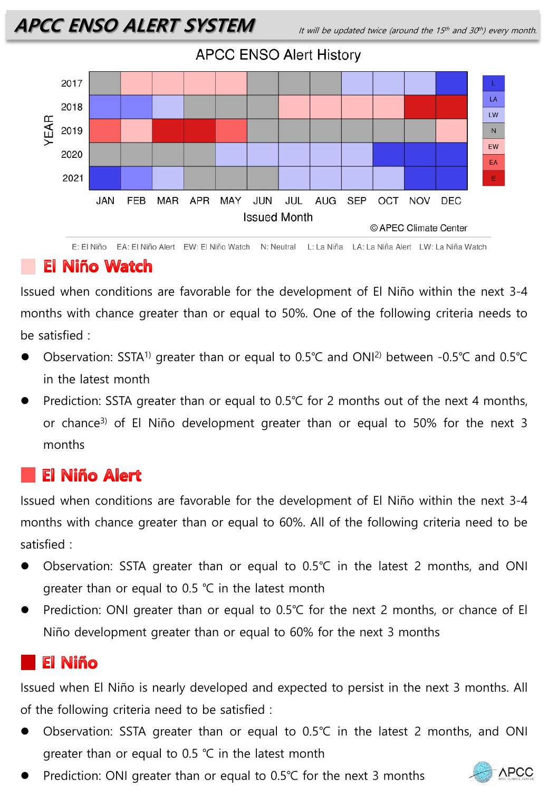

E: El Niño EA: El Niño Alert EW: El Niño Watch N: Neutral L: La Niña LA: La Niña Alert LW: La Niña Watch

#### **El Niño Watch**

Issued when conditions are favorable for the development of El Niño within the next 3-4 months with chance greater than or equal to 50%. One of the following criteria needs to be satisfied :

- ⚫ Observation: SSTA1) greater than or equal to 0.5℃ and ONI2) between -0.5℃ and 0.5℃ in the latest month
- Prediction: SSTA greater than or equal to 0.5℃ for 2 months out of the next 4 months, or chance3) of El Niño development greater than or equal to 50% for the next 3 months

## **El Niño Alert**

Issued when conditions are favorable for the development of El Niño within the next 3-4 months with chance greater than or equal to 60%. All of the following criteria need to be satisfied :

- ⚫ Observation: SSTA greater than or equal to 0.5℃ in the latest 2 months, and ONI greater than or equal to 0.5 ℃ in the latest month
- Prediction: ONI greater than or equal to 0.5℃ for the next 2 months, or chance of El Niño development greater than or equal to 60% for the next 3 months

# **El Niño**

Issued when El Niño is nearly developed and expected to persist in the next 3 months. All of the following criteria need to be satisfied :

- ⚫ Observation: SSTA greater than or equal to 0.5℃ in the latest 2 months, and ONI greater than or equal to 0.5 ℃ in the latest month
- Prediction: ONI greater than or equal to 0.5℃ for the next 3 months